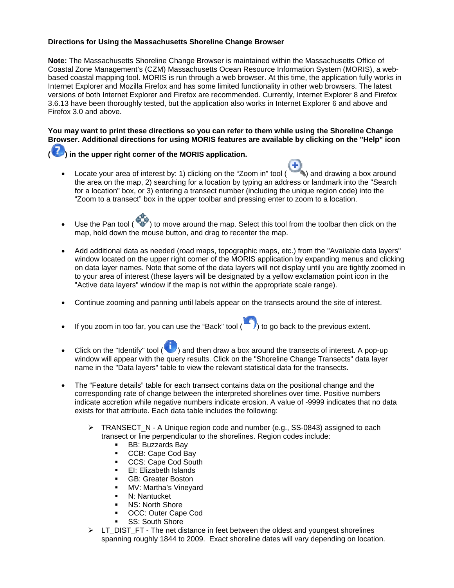## **Directions for Using the Massachusetts Shoreline Change Browser**

**Note:** The Massachusetts Shoreline Change Browser is maintained within the Massachusetts Office of Coastal Zone Management's (CZM) Massachusetts Ocean Resource Information System (MORIS), a webbased coastal mapping tool. MORIS is run through a web browser. At this time, the application fully works in Internet Explorer and Mozilla Firefox and has some limited functionality in other web browsers. The latest versions of both Internet Explorer and Firefox are recommended. Currently, Internet Explorer 8 and Firefox 3.6.13 have been thoroughly tested, but the application also works in Internet Explorer 6 and above and Firefox 3.0 and above.

**You may want to print these directions so you can refer to them while using the Shoreline Change Browser. Additional directions for using MORIS features are available by clicking on the "Help" icon** 

**( ) in the upper right corner of the MORIS application.** 

Locate your area of interest by: 1) clicking on the "Zoom in" tool ( $\qquad \qquad$ ) and drawing a box around the area on the map, 2) searching for a location by typing an address or landmark into the "Search for a location" box, or 3) entering a transect number (including the unique region code) into the "Zoom to a transect" box in the upper toolbar and pressing enter to zoom to a location.

÷

- Use the Pan tool ( $\bullet$ ) to move around the map. Select this tool from the toolbar then click on the map, hold down the mouse button, and drag to recenter the map.
- Add additional data as needed (road maps, topographic maps, etc.) from the "Available data layers" window located on the upper right corner of the MORIS application by expanding menus and clicking on data layer names. Note that some of the data layers will not display until you are tightly zoomed in to your area of interest (these layers will be designated by a yellow exclamation point icon in the "Active data layers" window if the map is not within the appropriate scale range).
- Continue zooming and panning until labels appear on the transects around the site of interest.
- If you zoom in too far, you can use the "Back" tool  $(\blacksquare)$  to go back to the previous extent.
- Click on the "Identify" tool ( $\langle \cdot \rangle$ ) and then draw a box around the transects of interest. A pop-up window will appear with the query results. Click on the "Shoreline Change Transects" data layer name in the "Data layers" table to view the relevant statistical data for the transects.
- The "Feature details" table for each transect contains data on the positional change and the corresponding rate of change between the interpreted shorelines over time. Positive numbers indicate accretion while negative numbers indicate erosion. A value of -9999 indicates that no data exists for that attribute. Each data table includes the following:
	- $\triangleright$  TRANSECT N A Unique region code and number (e.g., SS-0843) assigned to each transect or line perpendicular to the shorelines. Region codes include:
		- **BB: Buzzards Bay**
		- CCB: Cape Cod Bay
		- CCS: Cape Cod South
		- EI: Elizabeth Islands
		- **GB: Greater Boston**
		- **NV: Martha's Vineyard**
		- **N: Nantucket**
		- **NS: North Shore**
		- **OCC: Outer Cape Cod**
		- SS: South Shore
	- ¾ LT\_DIST\_FT The net distance in feet between the oldest and youngest shorelines spanning roughly 1844 to 2009. Exact shoreline dates will vary depending on location.